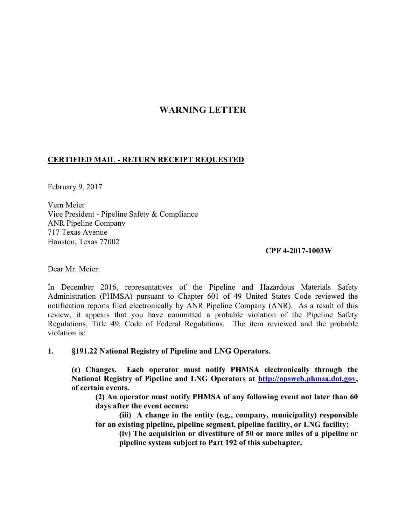## **WARNING LETTER**

## **CERTIFIED MAIL - RETURN RECEIPT REQUESTED**

February 9, 2017

Vern Meier Vice President - Pipeline Safety & Compliance ANR Pipeline Company 717 Texas Avenue Houston, Texas 77002

## **CPF 4-2017-1003W**

Dear Mr. Meier:

In December 2016, representatives of the Pipeline and Hazardous Materials Safety Administration (PHMSA) pursuant to Chapter 601 of 49 United States Code reviewed the notification reports filed electronically by ANR Pipeline Company (ANR). As a result of this review, it appears that you have committed a probable violation of the Pipeline Safety Regulations, Title 49, Code of Federal Regulations. The item reviewed and the probable violation is:

**1. §191.22 National Registry of Pipeline and LNG Operators.** 

**(c) Changes. Each operator must notify PHMSA electronically through the National Registry of Pipeline and LNG Operators at http://opsweb.phmsa.dot.gov, of certain events.** 

**(2) An operator must notify PHMSA of any following event not later than 60 days after the event occurs:** 

 **(iii) A change in the entity (e.g., company, municipality) responsible for an existing pipeline, pipeline segment, pipeline facility, or LNG facility;** 

**(iv) The acquisition or divestiture of 50 or more miles of a pipeline or pipeline system subject to Part 192 of this subchapter.**